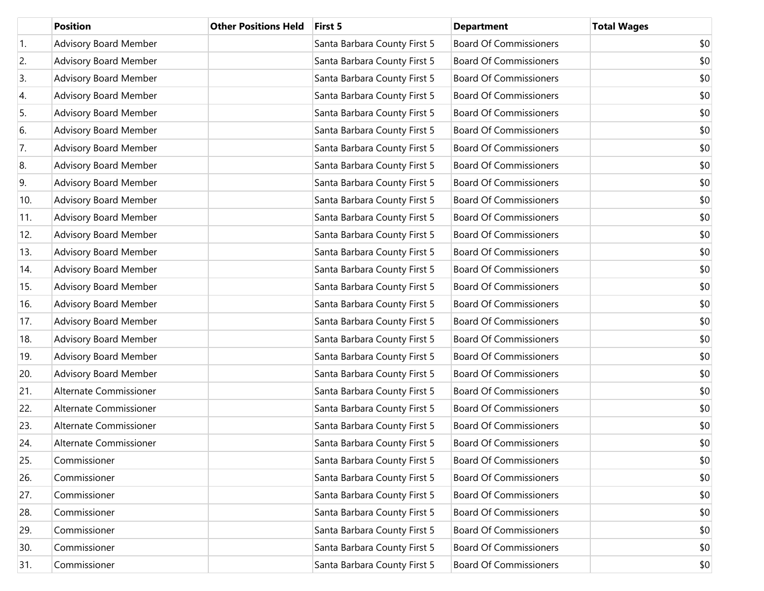|     | <b>Position</b>              | <b>Other Positions Held</b> | First 5                      | <b>Department</b>             | <b>Total Wages</b> |
|-----|------------------------------|-----------------------------|------------------------------|-------------------------------|--------------------|
| 1.  | <b>Advisory Board Member</b> |                             | Santa Barbara County First 5 | <b>Board Of Commissioners</b> | \$0                |
| 2.  | Advisory Board Member        |                             | Santa Barbara County First 5 | <b>Board Of Commissioners</b> | \$0                |
| 3.  | <b>Advisory Board Member</b> |                             | Santa Barbara County First 5 | <b>Board Of Commissioners</b> | \$0                |
| 4.  | Advisory Board Member        |                             | Santa Barbara County First 5 | <b>Board Of Commissioners</b> | \$0                |
| 5.  | <b>Advisory Board Member</b> |                             | Santa Barbara County First 5 | <b>Board Of Commissioners</b> | \$0                |
| 6.  | Advisory Board Member        |                             | Santa Barbara County First 5 | <b>Board Of Commissioners</b> | \$0                |
| 7.  | <b>Advisory Board Member</b> |                             | Santa Barbara County First 5 | <b>Board Of Commissioners</b> | \$0                |
| 8.  | Advisory Board Member        |                             | Santa Barbara County First 5 | <b>Board Of Commissioners</b> | \$0                |
| 9.  | <b>Advisory Board Member</b> |                             | Santa Barbara County First 5 | <b>Board Of Commissioners</b> | \$0                |
| 10. | Advisory Board Member        |                             | Santa Barbara County First 5 | <b>Board Of Commissioners</b> | \$0                |
| 11. | <b>Advisory Board Member</b> |                             | Santa Barbara County First 5 | <b>Board Of Commissioners</b> | \$0                |
| 12. | Advisory Board Member        |                             | Santa Barbara County First 5 | <b>Board Of Commissioners</b> | \$0                |
| 13. | <b>Advisory Board Member</b> |                             | Santa Barbara County First 5 | <b>Board Of Commissioners</b> | \$0                |
| 14. | Advisory Board Member        |                             | Santa Barbara County First 5 | <b>Board Of Commissioners</b> | \$0                |
| 15. | <b>Advisory Board Member</b> |                             | Santa Barbara County First 5 | <b>Board Of Commissioners</b> | \$0                |
| 16. | Advisory Board Member        |                             | Santa Barbara County First 5 | <b>Board Of Commissioners</b> | \$0                |
| 17. | <b>Advisory Board Member</b> |                             | Santa Barbara County First 5 | <b>Board Of Commissioners</b> | \$0                |
| 18. | Advisory Board Member        |                             | Santa Barbara County First 5 | <b>Board Of Commissioners</b> | \$0                |
| 19. | <b>Advisory Board Member</b> |                             | Santa Barbara County First 5 | <b>Board Of Commissioners</b> | \$0                |
| 20. | Advisory Board Member        |                             | Santa Barbara County First 5 | <b>Board Of Commissioners</b> | \$0                |
| 21. | Alternate Commissioner       |                             | Santa Barbara County First 5 | <b>Board Of Commissioners</b> | \$0                |
| 22. | Alternate Commissioner       |                             | Santa Barbara County First 5 | <b>Board Of Commissioners</b> | \$0                |
| 23. | Alternate Commissioner       |                             | Santa Barbara County First 5 | <b>Board Of Commissioners</b> | \$0                |
| 24. | Alternate Commissioner       |                             | Santa Barbara County First 5 | <b>Board Of Commissioners</b> | \$0                |
| 25. | Commissioner                 |                             | Santa Barbara County First 5 | <b>Board Of Commissioners</b> | \$0                |
| 26. | Commissioner                 |                             | Santa Barbara County First 5 | <b>Board Of Commissioners</b> | \$0                |
| 27. | Commissioner                 |                             | Santa Barbara County First 5 | <b>Board Of Commissioners</b> | \$0                |
| 28. | Commissioner                 |                             | Santa Barbara County First 5 | <b>Board Of Commissioners</b> | \$0                |
| 29. | Commissioner                 |                             | Santa Barbara County First 5 | <b>Board Of Commissioners</b> | \$0                |
| 30. | Commissioner                 |                             | Santa Barbara County First 5 | <b>Board Of Commissioners</b> | \$0                |
| 31. | Commissioner                 |                             | Santa Barbara County First 5 | <b>Board Of Commissioners</b> | \$0                |